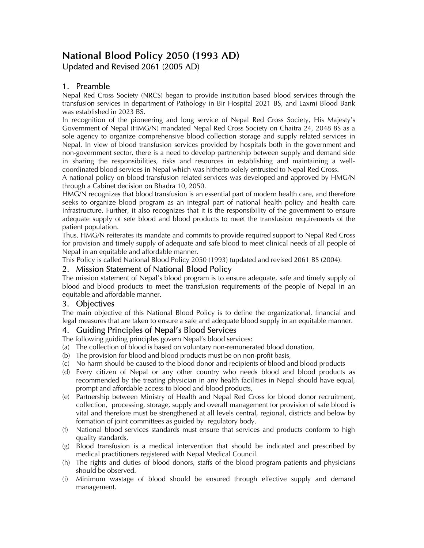# **National Blood Policy 2050 (1993 AD)**  Updated and Revised 2061 (2005 AD)

# 1. Preamble

Nepal Red Cross Society (NRCS) began to provide institution based blood services through the transfusion services in department of Pathology in Bir Hospital 2021 BS, and Laxmi Blood Bank was established in 2023 BS.

In recognition of the pioneering and long service of Nepal Red Cross Society, His Majesty's Government of Nepal (HMG/N) mandated Nepal Red Cross Society on Chaitra 24, 2048 8S as a sole agency to organize comprehensive blood collection storage and supply related services in Nepal. In view of blood transfusion services provided by hospitals both in the government and non-government sector, there is a need to develop partnership between supply and demand side in sharing the responsibilities, risks and resources in establishing and maintaining a wellcoordinated blood services in Nepal which was hitherto solely entrusted to Nepal Red Cross.

A national policy on blood transfusion related services was developed and approved by HMG/N through a Cabinet decision on Bhadra 10, 2050.

HMG/N recognizes that blood transfusion is an essential part of modern health care, and therefore seeks to organize blood program as an integral part of national health policy and health care infrastructure. Further, it also recognizes that it is the responsibility of the government to ensure adequate supply of sefe blood and blood products to meet the transfusion requirements of the patient population.

Thus, HMG/N reiterates its mandate and commits to provide required support to Nepal Red Cross for provision and timely supply of adequate and safe blood to meet clinical needs of all people of Nepal in an equitable and affordable manner.

This Policy is called National Blood Policy 2050 (1993) (updated and revised 2061 BS (2004).

## 2. Mission Statement of National Blood Policy

The mission statement of Nepal's blood program is to ensure adequate, safe and timely supply of blood and blood products to meet the transfusion requirements of the people of Nepal in an equitable and affordable manner.

## 3. Objectives

The main objective of this National Blood Policy is to define the organizational, financial and legal measures that are taken to ensure a safe and adequate blood supply in an equitable manner.

## 4. Guiding Principles of Nepal's Blood Services

The following guiding principles govern Nepal's blood services:

- (a) The collection of blood is based on voluntary non-remunerated blood donation,
- (b) The provision for blood and blood products must be on non-profit basis,
- (c) No harm should be caused to the blood donor and recipients of blood and blood products
- (d) Every citizen of Nepal or any other country who needs blood and blood products as recommended by the treating physician in any health facilities in Nepal should have equal, prompt and affordable access to blood and blood products,
- (e) Partnership between Ministry of Health and Nepal Red Cross for blood donor recruitment, collection, processing, storage, supply and overall management for provision of safe blood is vital and therefore must be strengthened at all levels central, regional, districts and below by formation of joint committees as guided by regulatory body.
- (f) National blood services standards must ensure that services and products conform to high quality standards,
- (g) Blood transfusion is a medical intervention that should be indicated and prescribed by medical practitioners registered with Nepal Medical Council.
- (h) The rights and duties of blood donors, staffs of the blood program patients and physicians should be observed.
- (i) Minimum wastage of blood should be ensured through effective supply and demand management.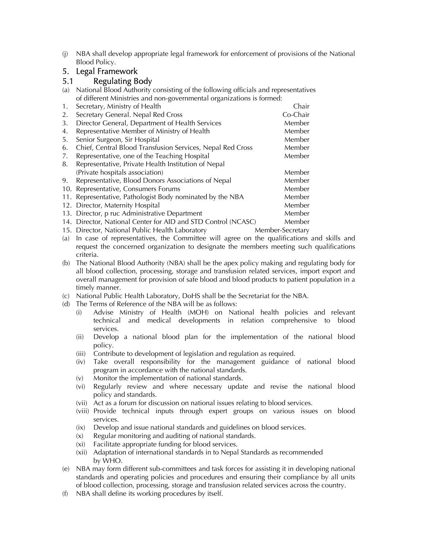(j) NBA shall develop appropriate legal framework for enforcement of provisions of the National Blood Policy.

# 5. Legal Framework

#### 5.1 Regulating Body

(a) National Blood Authority consisting of the following officials and representatives of different Ministries and non-governmental organizations is formed:

|     | Or uniclent Ministries and non-governmental organizations is formed. |          |
|-----|----------------------------------------------------------------------|----------|
| 1.  | Secretary, Ministry of Health                                        | Chair    |
| 2.  | Secretary General. Nepal Red Cross                                   | Co-Chair |
| 3.  | Director General, Department of Health Services                      | Member   |
| 4.  | Representative Member of Ministry of Health                          | Member   |
| 5.  | Senior Surgeon, Sir Hospital                                         | Member   |
| 6.  | Chief, Central Blood Transfusion Services, Nepal Red Cross           | Member   |
| 7.  | Representative, one of the Teaching Hospital                         | Member   |
| 8.  | Representative, Private Health Institution of Nepal                  |          |
|     | (Private hospitals association)                                      | Member   |
| 9.  | Representative, Blood Donors Associations of Nepal                   | Member   |
| 10. | Representative, Consumers Forums                                     | Member   |
| 11. | Representative, Pathologist Body nominated by the NBA                | Member   |
|     | 12. Director, Maternity Hospital                                     | Member   |
|     | 13. Director, p ruc Administrative Department                        | Member   |
|     | 14. Director, National Center for AID and STD Control (NCASC)        | Member   |

- 15. Director, National Public Health Laboratory Member-Secretary
- (a) In case of representatives, the Committee will agree on the qualifications and skills and request the concerned organization to designate the members meeting such qualifications criteria.
- (b) The National Blood Authority (NBA) shall be the apex policy making and regulating body for all blood collection, processing, storage and transfusion related services, import export and overall management for provision of safe blood and blood products to patient population in a timely manner.
- (c) National Public Health Laboratory, DoHS shall be the Secretariat for the NBA.
- (d) The Terms of Reference of the NBA will be as follows:
	- (i) Advise Ministry of Health (MOH) on National health policies and relevant technical and medical developments in relation comprehensive to blood services.
	- (ii) Develop a national blood plan for the implementation of the national blood policy.
	- (iii) Contribute to development of legislation and regulation as required.
	- (iv) Take overall responsibility for the management guidance of national blood program in accordance with the national standards.
	- (v) Monitor the implementation of national standards.
	- (vi) Regularly review and where necessary update and revise the national blood policy and standards.
	- (vii) Act as a forum for discussion on national issues relating to blood services.
	- (viii) Provide technical inputs through expert groups on various issues on blood services.
	- (ix) Develop and issue national standards and guidelines on blood services.
	- (x) Regular monitoring and auditing of national standards.
	- (xi) Facilitate appropriate funding for blood services.
	- (xii) Adaptation of international standards in to Nepal Standards as recommended by WHO.
- (e) NBA may form different sub-committees and task forces for assisting it in developing national standards and operating policies and procedures and ensuring their compliance by all units of blood collection, processing, storage and transfusion related services across the country.
- (f) NBA shall define its working procedures by itself.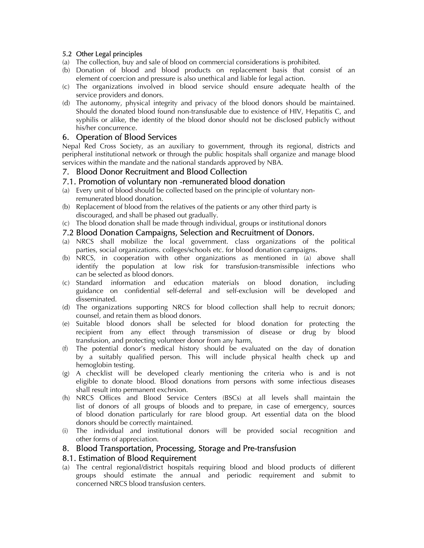#### 5.2 Other Legal principles

- (a) The collection, buy and sale of blood on commercial considerations is prohibited.
- (b) Donation of blood and blood products on replacement basis that consist of an element of coercion and pressure is also unethical and liable for legal action.
- (c) The organizations involved in blood service should ensure adequate health of the service providers and donors.
- (d) The autonomy, physical integrity and privacy of the blood donors should be maintained. Should the donated blood found non-transfusable due to existence of HIV, Hepatitis C, and syphilis or alike, the identity of the blood donor should not be disclosed publicly without his/her concurrence.

#### 6. Operation of Blood Services

Nepal Red Cross Society, as an auxiliary to government, through its regional, districts and peripheral institutional network or through the public hospitals shall organize and manage blood services within the mandate and the national standards approved by NBA.

#### 7. Blood Donor Recruitment and Blood Collection

#### 7.1. Promotion of voluntary non -remunerated blood donation

- (a) Every unit of blood should be collected based on the principle of voluntary non remunerated blood donation.
- (b) Replacement of blood from the relatives of the patients or any other third party is discouraged, and shall be phased out gradually.
- (c) The blood donation shall be made through individual, groups or institutional donors

#### 7.2 Blood Donation Campaigns, Selection and Recruitment of Donors.

- (a) NRCS shall mobilize the local government. class organizations of the political parties, social organizations. colleges/schools etc. for blood donation campaigns.
- (b) NRCS, in cooperation with other organizations as mentioned in (a) above shall identify the population at low risk for transfusion-transmissible infections who can be selected as blood donors.
- (c) Standard information and education materials on blood donation, including guidance on confidential self-deferral and self-exclusion will be developed and disseminated.
- (d) The organizations supporting NRCS for blood collection shall help to recruit donors; counsel, and retain them as blood donors.
- (e) Suitable blood donors shall be selected for blood donation for protecting the recipient from any effect through transmission of disease or drug by blood transfusion, and protecting volunteer donor from any harm,
- (f) The potential donor's medical history should be evaluated on the day of donation by a suitably qualified person. This will include physical health check up and hemoglobin testing.
- (g) A checklist will be developed clearly mentioning the criteria who is and is not eligible to donate blood. Blood donations from persons with some infectious diseases shall result into permanent exchrsion.
- (h) NRCS Offices and Blood Service Centers (BSCs) at all levels shall maintain the list of donors of all groups of bloods and to prepare, in case of emergency, sources of blood donation particularly for rare blood group. Art essential data on the blood donors should be correctly maintained.
- (i) The individual and institutional donors will be provided social recognition and other forms of appreciation.

#### 8. Blood Transportation, Processing, Storage and Pre-transfusion

#### 8.1. Estimation of Blood Requirement

(a) The central regional/district hospitals requiring blood and blood products of different groups should estimate the annual and periodic requirement and submit to concerned NRCS blood transfusion centers.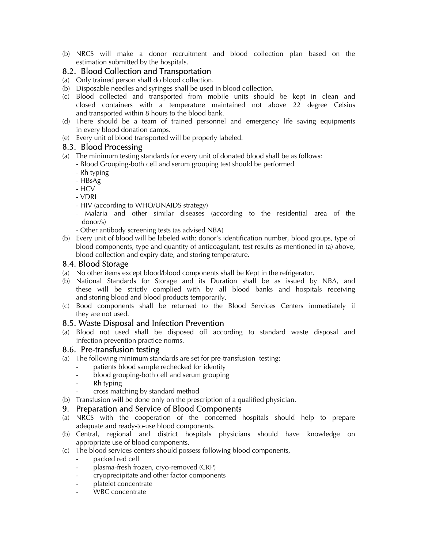(b) NRCS will make a donor recruitment and blood collection plan based on the estimation submitted by the hospitals.

# 8.2. Blood Collection and Transportation

- (a) Only trained person shall do blood collection.
- (b) Disposable needles and syringes shall be used in blood collection.
- (c) Blood collected and transported from mobile units should be kept in clean and closed containers with a temperature maintained not above 22 degree Celsius and transported within 8 hours to the blood bank.
- (d) There should be a team of trained personnel and emergency life saving equipments in every blood donation camps.
- (e) Every unit of blood transported will be properly labeled.

#### 8.3. Blood Processing

- (a) The minimum testing standards for every unit of donated blood shall be as follows:
	- Blood Grouping-both cell and serum grouping test should be performed
		- Rh typing
		- HBsAg
	- HCV
	- VDRL
	- HIV (according to WHO/UNAIDS strategy)
	- Malaria and other similar diseases (according to the residential area of the donor/s)
	- Other antibody screening tests (as advised NBA)
- (b) Every unit of blood will be labeled with: donor's identification number, blood groups, type of blood components, type and quantity of anticoagulant, test results as mentioned in (a) above, blood collection and expiry date, and storing temperature.

## 8.4. Blood Storage

- (a) No other items except blood/blood components shall be Kept in the refrigerator.
- (b) National Standards for Storage and its Duration shall be as issued by NBA, and these will be strictly complied with by all blood banks and hospitals receiving and storing blood and blood products temporarily.
- (c) Bood components shall be returned to the Blood Services Centers immediately if they are not used.

## 8.5. Waste Disposal and Infection Prevention

(a) Blood not used shall be disposed off according to standard waste disposal and infection prevention practice norms.

## 8.6. Pre-transfusion testing

- (a) The following minimum standards are set for pre-transfusion testing:
	- patients blood sample rechecked for identity
	- blood grouping-both cell and serum grouping
	- Rh typing
	- cross matching by standard method
- (b) Transfusion will be done only on the prescription of a qualified physician.

#### 9. Preparation and Service of Blood Components

- (a) NRCS with the cooperation of the concerned hospitals should help to prepare adequate and ready-to-use blood components.
- (b) Central, regional and district hospitals physicians should have knowledge on appropriate use of blood components.
- (c) The blood services centers should possess following blood components,
	- packed red cell
	- plasma-fresh frozen, cryo-removed (CRP)
	- cryoprecipitate and other factor components
	- platelet concentrate
	- WBC concentrate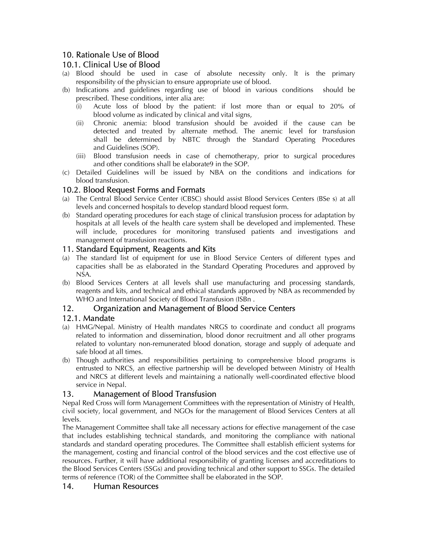# 10. Rationale Use of Blood

## 10.1. Clinical Use of Blood

- (a) Blood should be used in case of absolute necessity only. lt is the primary responsibility of the physician to ensure appropriate use of blood.
- (b) Indications and guidelines regarding use of blood in various conditions should be prescribed. These conditions, inter alia are:
	- (i) Acute loss of blood by the patient: if lost more than or equal to 20% of blood volume as indicated by clinical and vital signs,
	- (ii) Chronic anemia: blood transfusion should be avoided if the cause can be detected and treated by alternate method. The anemic level for transfusion shall be determined by NBTC through the Standard Operating Procedures and Guidelines (SOP).
	- (iii) Blood transfusion needs in case of chemotherapy, prior to surgical procedures and other conditions shall be elaborate9 in the SOP.
- (c) Detailed Guidelines will be issued by NBA on the conditions and indications for blood transfusion.

# 10.2. Blood Request Forms and Formats

- (a) The Central Blood Service Center (CBSC) should assist Blood Services Centers (BSe s) at all levels and concerned hospitals to develop standard blood request form.
- (b) Standard operating procedures for each stage of clinical transfusion process for adaptation by hospitals at all levels of the health care system shall be developed and implemented. These will include, procedures for monitoring transfused patients and investigations and management of transfusion reactions.

#### 11. Standard Equipment, Reagents and Kits

- (a) The standard list of equipment for use in Blood Service Centers of different types and capacities shall be as elaborated in the Standard Operating Procedures and approved by NSA.
- (b) Blood Services Centers at all levels shall use manufacturing and processing standards, reagents and kits, and technical and ethical standards approved by NBA as recommended by WHO and International Society of Blood Transfusion (ISBn .

# 12. Organization and Management of Blood Service Centers

## 12.1. Mandate

- (a) HMG/Nepal. Ministry of Health mandates NRGS to coordinate and conduct all programs related to information and dissemination, blood donor recruitment and all other programs related to voluntary non-remunerated blood donation, storage and supply of adequate and safe blood at all times.
- (b) Though authorities and responsibilities pertaining to comprehensive blood programs is entrusted to NRCS, an effective partnership will be developed between Ministry of Health and NRCS at different levels and maintaining a nationally well-coordinated effective blood service in Nepal.

# 13. Management of Blood Transfusion

Nepal Red Cross will form Management Committees with the representation of Ministry of Health, civil society, local government, and NGOs for the management of Blood Services Centers at all levels.

The Management Committee shall take all necessary actions for effective management of the case that includes establishing technical standards, and monitoring the compliance with national standards and standard operating procedures. The Committee shall establish efficient systems for the management, costing and financial control of the blood services and the cost effective use of resources. Further, it will have additional responsibility of granting licenses and accreditations to the Blood Services Centers (SSGs) and providing technical and other support to SSGs. The detailed terms of reference (TOR) of the Committee shall be elaborated in the SOP.

## 14. Human Resources